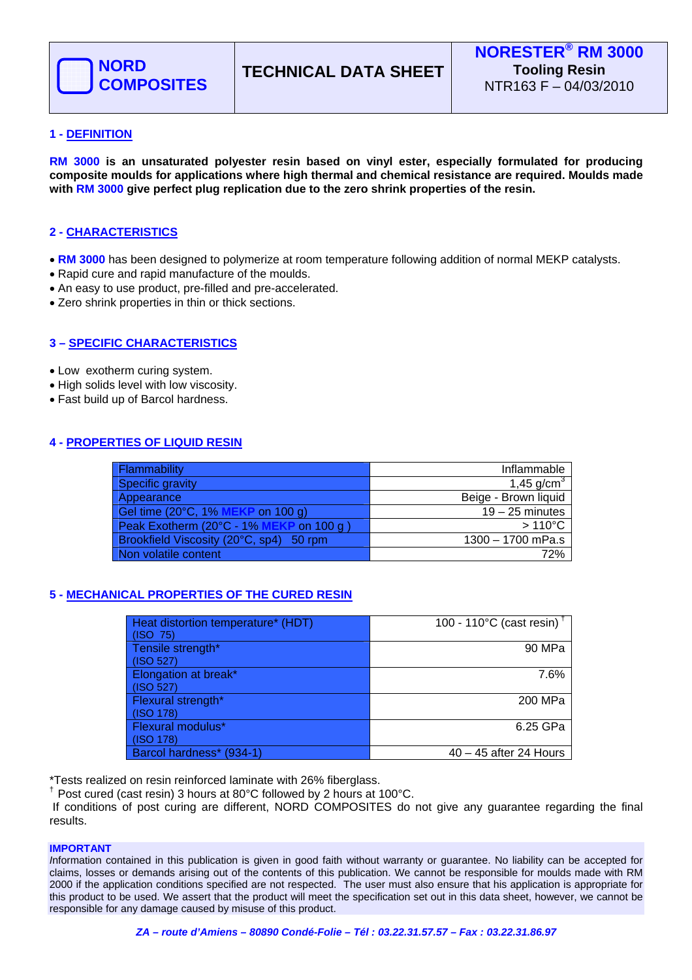

# **1 - DEFINITION**

**RM 3000 is an unsaturated polyester resin based on vinyl ester, especially formulated for producing composite moulds for applications where high thermal and chemical resistance are required. Moulds made with RM 3000 give perfect plug replication due to the zero shrink properties of the resin.** 

# **2 - CHARACTERISTICS**

- **RM 3000** has been designed to polymerize at room temperature following addition of normal MEKP catalysts.
- Rapid cure and rapid manufacture of the moulds.
- An easy to use product, pre-filled and pre-accelerated.
- Zero shrink properties in thin or thick sections.

## **3 – SPECIFIC CHARACTERISTICS**

- Low exotherm curing system.
- High solids level with low viscosity.
- Fast build up of Barcol hardness.

## **4 - PROPERTIES OF LIQUID RESIN**

| Flammability                            | Inflammable            |
|-----------------------------------------|------------------------|
| Specific gravity                        | 1,45 g/cm <sup>3</sup> |
| Appearance                              | Beige - Brown liquid   |
| Gel time (20°C, 1% MEKP on 100 g)       | $19 - 25$ minutes      |
| Peak Exotherm (20°C - 1% MEKP on 100 g) | $>110^{\circ}$ C       |
| Brookfield Viscosity (20°C, sp4) 50 rpm | $1300 - 1700$ mPa.s    |
| Non volatile content                    | 72%                    |

## **5 - MECHANICAL PROPERTIES OF THE CURED RESIN**

| Heat distortion temperature* (HDT)<br>(ISO 75) | 100 - 110 $^{\circ}$ C (cast resin) <sup>†</sup> |
|------------------------------------------------|--------------------------------------------------|
| Tensile strength*<br>(ISO 527)                 | 90 MPa                                           |
| Elongation at break*<br>(ISO 527)              | 7.6%                                             |
| Flexural strength*<br>(ISO 178)                | 200 MPa                                          |
| Flexural modulus*<br>(ISO 178)                 | 6.25 GPa                                         |
| Barcol hardness* (934-1)                       | $40 - 45$ after 24 Hours                         |

\*Tests realized on resin reinforced laminate with 26% fiberglass.

 $\textsuperscript{+}$  Post cured (cast resin) 3 hours at 80°C followed by 2 hours at 100°C.

 If conditions of post curing are different, NORD COMPOSITES do not give any guarantee regarding the final results.

### **IMPORTANT**

*I*nformation contained in this publication is given in good faith without warranty or guarantee. No liability can be accepted for claims, losses or demands arising out of the contents of this publication. We cannot be responsible for moulds made with RM 2000 if the application conditions specified are not respected. The user must also ensure that his application is appropriate for this product to be used. We assert that the product will meet the specification set out in this data sheet, however, we cannot be responsible for any damage caused by misuse of this product.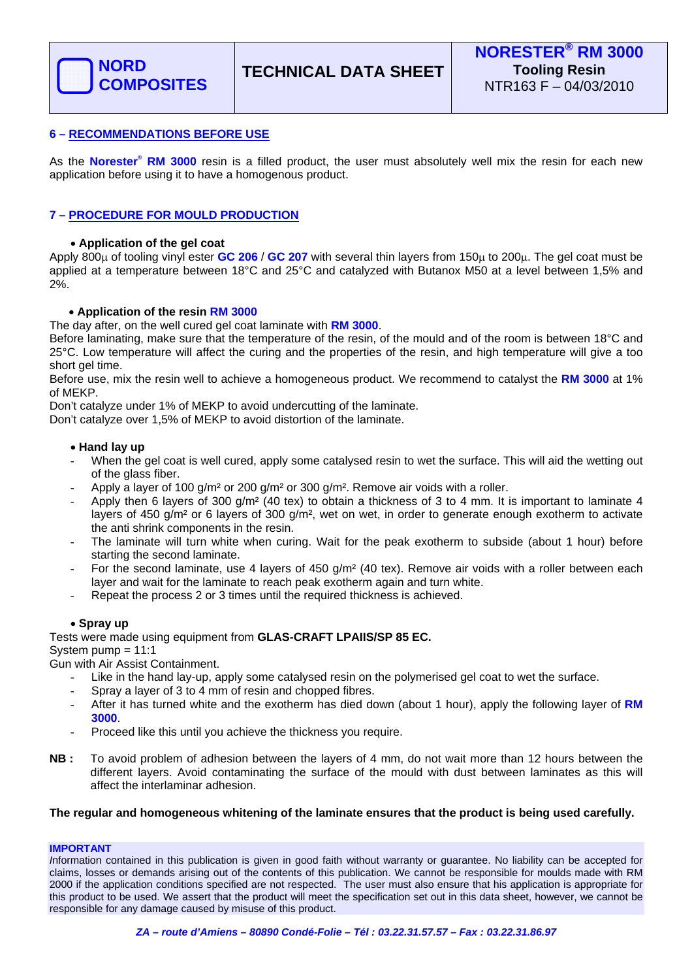

### **6 – RECOMMENDATIONS BEFORE USE**

As the **Norester® RM 3000** resin is a filled product, the user must absolutely well mix the resin for each new application before using it to have a homogenous product.

## **7 – PROCEDURE FOR MOULD PRODUCTION**

### • **Application of the gel coat**

Apply 800μ of tooling vinyl ester **GC 206** / **GC 207** with several thin layers from 150μ to 200μ. The gel coat must be applied at a temperature between 18°C and 25°C and catalyzed with Butanox M50 at a level between 1,5% and 2%.

### • **Application of the resin RM 3000**

The day after, on the well cured gel coat laminate with **RM 3000**.

Before laminating, make sure that the temperature of the resin, of the mould and of the room is between 18°C and 25°C. Low temperature will affect the curing and the properties of the resin, and high temperature will give a too short gel time.

Before use, mix the resin well to achieve a homogeneous product. We recommend to catalyst the **RM 3000** at 1% of MEKP.

Don't catalyze under 1% of MEKP to avoid undercutting of the laminate.

Don't catalyze over 1,5% of MEKP to avoid distortion of the laminate.

#### • **Hand lay up**

- When the gel coat is well cured, apply some catalysed resin to wet the surface. This will aid the wetting out of the glass fiber.
- Apply a layer of 100 g/m<sup>2</sup> or 200 g/m<sup>2</sup> or 300 g/m<sup>2</sup>. Remove air voids with a roller.
- Apply then 6 layers of 300  $g/m^2$  (40 tex) to obtain a thickness of 3 to 4 mm. It is important to laminate 4 layers of 450 g/m² or 6 layers of 300 g/m², wet on wet, in order to generate enough exotherm to activate the anti shrink components in the resin.
- The laminate will turn white when curing. Wait for the peak exotherm to subside (about 1 hour) before starting the second laminate.
- For the second laminate, use 4 layers of 450 g/m<sup>2</sup> (40 tex). Remove air voids with a roller between each layer and wait for the laminate to reach peak exotherm again and turn white.
- Repeat the process 2 or 3 times until the required thickness is achieved.

### • **Spray up**

Tests were made using equipment from **GLAS-CRAFT LPAIIS/SP 85 EC.**

System pump = 11:1

Gun with Air Assist Containment.

- Like in the hand lay-up, apply some catalysed resin on the polymerised gel coat to wet the surface.
- Spray a layer of 3 to 4 mm of resin and chopped fibres.
- After it has turned white and the exotherm has died down (about 1 hour), apply the following layer of **RM 3000**.
- Proceed like this until you achieve the thickness you require.
- **NB :** To avoid problem of adhesion between the layers of 4 mm, do not wait more than 12 hours between the different layers. Avoid contaminating the surface of the mould with dust between laminates as this will affect the interlaminar adhesion.

#### **The regular and homogeneous whitening of the laminate ensures that the product is being used carefully.**

#### **IMPORTANT**

*I*nformation contained in this publication is given in good faith without warranty or guarantee. No liability can be accepted for claims, losses or demands arising out of the contents of this publication. We cannot be responsible for moulds made with RM 2000 if the application conditions specified are not respected. The user must also ensure that his application is appropriate for this product to be used. We assert that the product will meet the specification set out in this data sheet, however, we cannot be responsible for any damage caused by misuse of this product.